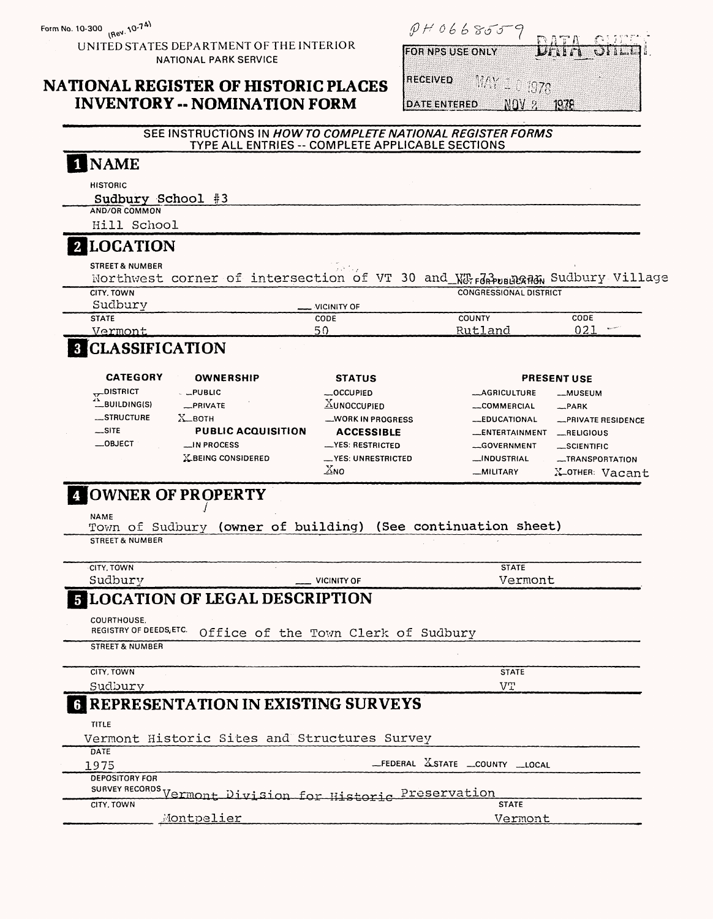UNITED STATES DEPARTMENT OF THE INTERIOR NATIONAL PARK SERVICE

## **NATIONAL REGISTER OF HISTORIC PLACES INVENTORY -- NOMINATION FORM**

| P H 0668559             |        |                      |
|-------------------------|--------|----------------------|
| <b>FOR NPS USE ONLY</b> |        | <b>WALLER OFFERE</b> |
| RECEIVED<br>MAN 1978    |        |                      |
| <b>DATE ENTERED</b>     | Vi U p |                      |

### **SEE INSTRUCTIONS IN** *HOWTO COMPLETE NATIONAL REGISTER FORMS \_\_\_\_\_\_\_\_\_\_* **TYPE ALL ENTRIES -- COMPLETE APPLICABLE SECTIONS**

| <b>NAME</b>                                                                    |                                                                            |                                     |                                         |
|--------------------------------------------------------------------------------|----------------------------------------------------------------------------|-------------------------------------|-----------------------------------------|
| <b>HISTORIC</b>                                                                |                                                                            |                                     |                                         |
| Sudbury School #3<br>AND/OR COMMON                                             |                                                                            |                                     |                                         |
| Hill School                                                                    |                                                                            |                                     |                                         |
| 2 LOCATION                                                                     |                                                                            |                                     |                                         |
| <b>STREET &amp; NUMBER</b>                                                     |                                                                            |                                     |                                         |
|                                                                                | Northwest corner of intersection of VT 30 and WT responses Sudbury Village |                                     |                                         |
| CITY, TOWN                                                                     |                                                                            | <b>CONGRESSIONAL DISTRICT</b>       |                                         |
| Sudbury                                                                        | VICINITY OF                                                                | COUNTY                              | CODE                                    |
| <b>STATE</b><br>Vermont                                                        | CODE<br>50                                                                 | Rutland                             | 021                                     |
| <b>CLASSIFICATION</b>                                                          |                                                                            |                                     |                                         |
| <b>CATEGORY</b><br><b>OWNERSHIP</b>                                            | <b>STATUS</b>                                                              |                                     | <b>PRESENT USE</b>                      |
| DISTRICT<br>- LPUBLIC                                                          | __OCCUPIED                                                                 | <b>__AGRICULTURE</b>                | __MUSEUM                                |
| EBUILDING(S)<br>-PRIVATE                                                       | <b>XUNOCCUPIED</b>                                                         | __COMMERCIAL                        | _PARK                                   |
| _STRUCTURE<br>$X$ <sub>-</sub> BOTH<br>$\equiv$ SITE                           | <b>__WORK IN PROGRESS</b>                                                  | <b>__EDUCATIONAL</b>                | -PRIVATE RESIDENCE                      |
| $\_$ OBJECT<br>-IN PROCESS                                                     | <b>PUBLIC ACQUISITION</b><br><b>ACCESSIBLE</b><br><b>__YES: RESTRICTED</b> | __ENTERTAINMENT                     | _RELIGIOUS                              |
| X BEING CONSIDERED                                                             | <b>__YES: UNRESTRICTED</b>                                                 | __GOVERNMENT<br><b>__INDUSTRIAL</b> | __SCIENTIFIC<br><b>__TRANSPORTATION</b> |
|                                                                                | $X_{NO}$                                                                   | _MILITARY                           | X-OTHER: Vacant                         |
| OWNER OF PROPERTY<br><b>NAME</b>                                               |                                                                            |                                     |                                         |
| <b>STREET &amp; NUMBER</b>                                                     | Town of Sudbury (owner of building) (See continuation sheet)               |                                     |                                         |
| CITY, TOWN                                                                     |                                                                            | <b>STATE</b>                        |                                         |
| Sudbury                                                                        | <b>VICINITY OF</b>                                                         | Vermont                             |                                         |
| <b>LOCATION OF LEGAL DESCRIPTION</b><br>COURTHOUSE.<br>REGISTRY OF DEEDS, ETC. | Office of the Town Clerk of Sudbury                                        |                                     |                                         |
| <b>STREET &amp; NUMBER</b>                                                     |                                                                            |                                     |                                         |
| CITY, TOWN                                                                     |                                                                            | <b>STATE</b>                        |                                         |
| Sudbury                                                                        |                                                                            | VT                                  |                                         |
|                                                                                | REPRESENTATION IN EXISTING SURVEYS                                         |                                     |                                         |
| <b>TITLE</b>                                                                   |                                                                            |                                     |                                         |
|                                                                                | Vermont Historic Sites and Structures Survey                               |                                     |                                         |
| DATE                                                                           |                                                                            |                                     |                                         |
| 1975                                                                           |                                                                            | _FEDERAL XSTATE _COUNTY __LOCAL     |                                         |
| <b>DEPOSITORY FOR</b>                                                          |                                                                            |                                     |                                         |
| CITY, TOWN                                                                     | survey RECORDS Vermont Division for Historic Preservation                  | <b>STATE</b>                        |                                         |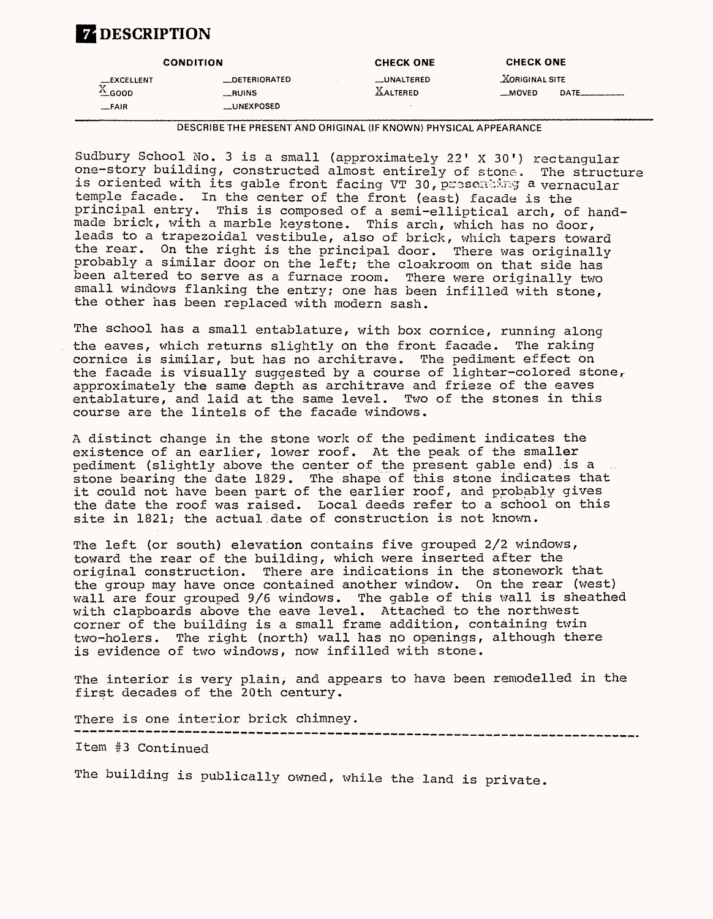# **B DESCRIPTION**

| <b>CONDITION</b> |                                           | <b>CHECK ONE</b><br><b>CHECK ONE</b>                  |                                |                                          |       |
|------------------|-------------------------------------------|-------------------------------------------------------|--------------------------------|------------------------------------------|-------|
|                  | __EXCELLENT<br>7<br>$^4$ GOOD<br>$-$ FAIR | <b>LOETERIORATED</b><br>__RUINS<br><b>__UNEXPOSED</b> | __UNALTERED<br><b>XALTERED</b> | <b><i>XORIGINAL SITE</i></b><br>$-MOVED$ | DATE_ |

DESCRIBETHE PRESENT AND ORIGINAL (IF KNOWN) PHYSICAL APPEARANCE

Sudbury School No. 3 is a small (approximately 22' X 30') rectangular one-story building, constructed almost entirely of stone. The structure is oriented with its gable front facing VT 30, preseating a vernacular temple facade. In the center of the front (east) facade is the principal entry. This is composed of a semi-elliptical arch, of handmade brick, with a marble keystone. This arch, which has no door, leads to a trapezoidal vestibule, also of brick, which tapers toward the rear. On the right is the principal door. There was originally probably a similar door on the left; the cloakroom on that side has been altered to serve as a furnace room. There were originally two small windows flanking the entry; one has been infilled with stone, the other has been replaced with modern sash.

The school has a small entablature, with box cornice, running along the eaves, which returns slightly on the front facade. The raking cornice is similar, but has no architrave. The pediment effect on the facade is visually suggested by a course of lighter-colored stone, approximately the same depth as architrave and frieze of the eaves entablature, and laid at the same level. Two of the stones in this course are the lintels of the facade windows.

A distinct change in the stone work of the pediment indicates the existence of an earlier, lower roof. At the peak of the smaller pediment (slightly above the center of the present gable end) is a stone bearing the date 1829. The shape of this stone indicates that it could not have been part of the earlier roof, and probably gives the date the roof was raised. Local deeds refer to a school on this site in 1821; the actual.date of construction is not known.

The left (or south) elevation contains five grouped 2/2 windows, toward the rear of the building, which were inserted after the original construction. There are indications in the stonework that the group may have once contained another window. On the rear (west) wall are four grouped 9/6 windows. The gable of this wall is sheathed with clapboards above the eave level. Attached to the northwest corner of the building is a small frame addition, containing twin two-holers. The right (north) wall has no openings, although there is evidence of two windows, now infilled with stone.

The interior is very plain, and appears to have been remodelled in the first decades of the 20th century.

There is one interior brick chimney.

""•""""———~\*————-.————.—....\_\_\_\_\_\_,—\_\_\_ .—.\_\_ «.\_\_\_.\_\_\_.\_—\_\_—.\_\_.—.\_\_...».

Item #3 Continued

The building is publically owned, while the land is private.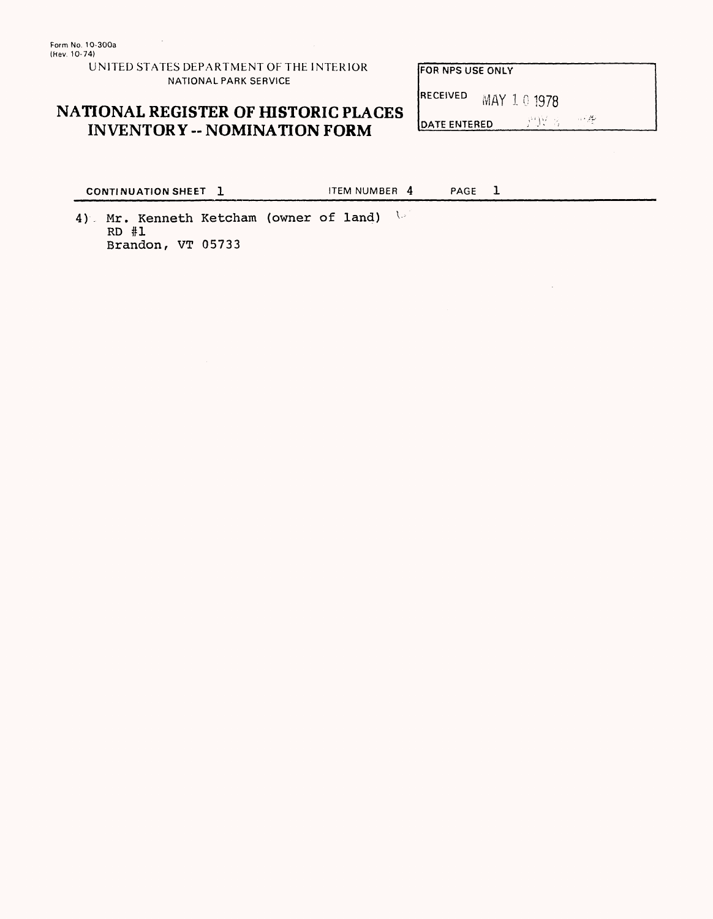### UNITED STATES DEPARTMENT OF THE INTERIOR NATIONAL PARK SERVICE

### **NATIONAL REGISTER OF HISTORIC PLACES INVENTORY -- NOMINATION FORM**

FOR NFS USE ONLY

RECEIVED MAY 101978

**AND A THE** DATE ENTERED

**CONTINUATION SHEET 1** ITEM NUMBER 4 PAGE

 $\sim 100$ 

 $\mathbf{1}$ 

4) Mr. Kenneth Ketcham (owner of land) RD #1 Brandon, VT 05733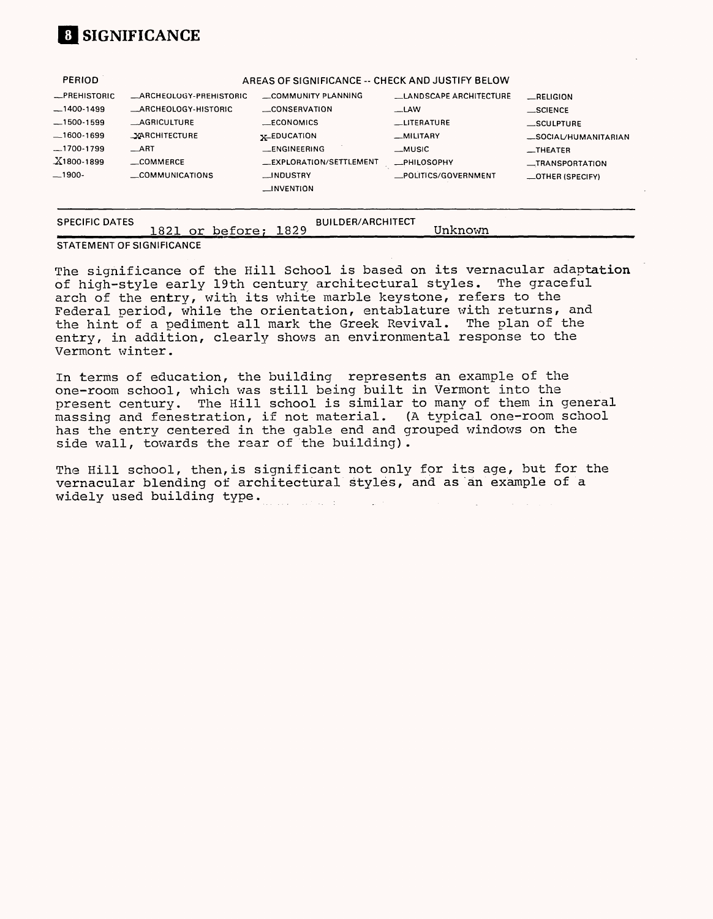

| <b>PERIOD</b>         | AREAS OF SIGNIFICANCE -- CHECK AND JUSTIFY BELOW |                                  |                               |                      |  |  |
|-----------------------|--------------------------------------------------|----------------------------------|-------------------------------|----------------------|--|--|
| -PREHISTORIC          | <b>ARCHEOLOGY-PREHISTORIC</b>                    | COMMUNITY PLANNING               | <b>LANDSCAPE ARCHITECTURE</b> | RELIGION             |  |  |
| $-1400-1499$          | ARCHEOLOGY-HISTORIC                              | CONSERVATION                     | $-LAW$                        | $\equiv$ SCIENCE     |  |  |
| $-1500-1599$          | <b>AGRICULTURE</b>                               | __ECONOMICS                      | <b>LITERATURE</b>             | $\equiv$ SCULPTURE   |  |  |
| $-1600-1699$          | <b>_XARCHITECTURE</b>                            | $x$ EDUCATION                    | _MILITARY                     | _SOCIAL/HUMANITARIAN |  |  |
| $-1700-1799$          | $\_$ ART                                         | __ENGINEERING                    | _MUSIC                        | $-$ THEATER          |  |  |
| $X1800-1899$          | $\equiv$ COMMERCE                                | <b>LEXPLORATION/SETTLEMENT</b>   | _PHILOSOPHY                   | -TRANSPORTATION      |  |  |
| $-1900-$              | COMMUNICATIONS                                   | __INDUSTRY<br>$\sqcup$ INVENTION | _POLITICS/GOVERNMENT          | _OTHER (SPECIFY)     |  |  |
| <b>SPECIFIC DATES</b> | before;<br>1821 or                               | BUILDER/ARCHITECT<br>1829        | Unknown                       |                      |  |  |

#### **STATEMENT OF SIGNIFICANCE**

The significance of the Hill School is based on its vernacular adaptation of high-style early 19th century architectural styles. The graceful arch of the entry, with its white marble keystone, refers to the Federal period, while the orientation, entablature with returns, and the hint"of a pediment all mark the Greek Revival. The plan of the entry, in addition, clearly shows an environmental response to the Vermont winter.

In terms of education, the building represents an example of the one-room school, which was still being built in Vermont into the present century. The Hill school is similar to many of them in general massing and fenestration, if not material. (A typical one-room school has the entry centered in the gable end and grouped windows on the side wall, towards the rear of the building).

The Hill school, then,is significant not only for its age, but for the vernacular blending of architectural styles, and as an example of a widely used building type.